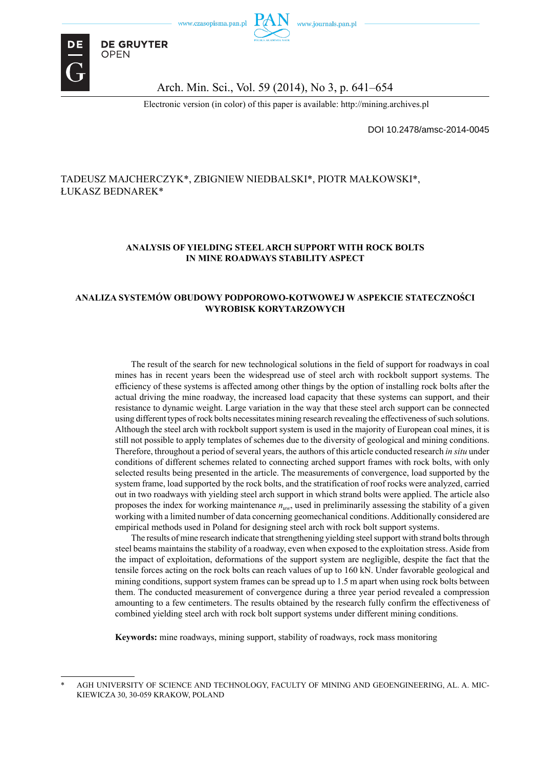



**DE GRUYTER OPEN** 

### Arch. Min. Sci., Vol. 59 (2014), No 3, p. 641–654

Electronic version (in color) of this paper is available: http://mining.archives.pl

DOI 10.2478/amsc-2014-0045

### TADEUSZ MAJCHERCZYK\*, ZBIGNIEW NIEDBALSKI\*, PIOTR MAŁKOWSKI\*, ŁUKASZ BEDNAREK\*

#### **ANALYSIS OF YIELDING STEEL ARCH SUPPORT WITH ROCK BOLTS IN MINE ROADWAYS STABILITY ASPECT**

#### **ANALIZA SYSTEMÓW OBUDOWY PODPOROWO-KOTWOWEJ W ASPEKCIE STATECZNOŚCI WYROBISK KORYTARZOWYCH**

The result of the search for new technological solutions in the field of support for roadways in coal mines has in recent years been the widespread use of steel arch with rockbolt support systems. The efficiency of these systems is affected among other things by the option of installing rock bolts after the actual driving the mine roadway, the increased load capacity that these systems can support, and their resistance to dynamic weight. Large variation in the way that these steel arch support can be connected using different types of rock bolts necessitates mining research revealing the effectiveness of such solutions. Although the steel arch with rockbolt support system is used in the majority of European coal mines, it is still not possible to apply templates of schemes due to the diversity of geological and mining conditions. Therefore, throughout a period of several years, the authors of this article conducted research *in situ* under conditions of different schemes related to connecting arched support frames with rock bolts, with only selected results being presented in the article. The measurements of convergence, load supported by the system frame, load supported by the rock bolts, and the stratification of roof rocks were analyzed, carried out in two roadways with yielding steel arch support in which strand bolts were applied. The article also proposes the index for working maintenance  $n_{\mu\nu}$ , used in preliminarily assessing the stability of a given working with a limited number of data concerning geomechanical conditions. Additionally considered are empirical methods used in Poland for designing steel arch with rock bolt support systems.

The results of mine research indicate that strengthening yielding steel support with strand bolts through steel beams maintains the stability of a roadway, even when exposed to the exploitation stress. Aside from the impact of exploitation, deformations of the support system are negligible, despite the fact that the tensile forces acting on the rock bolts can reach values of up to 160 kN. Under favorable geological and mining conditions, support system frames can be spread up to 1.5 m apart when using rock bolts between them. The conducted measurement of convergence during a three year period revealed a compression amounting to a few centimeters. The results obtained by the research fully confirm the effectiveness of combined yielding steel arch with rock bolt support systems under different mining conditions.

**Keywords:** mine roadways, mining support, stability of roadways, rock mass monitoring

AGH UNIVERSITY OF SCIENCE AND TECHNOLOGY, FACULTY OF MINING AND GEOENGINEERING, AL. A. MIC-KIEWICZA 30, 30-059 KRAKOW, POLAND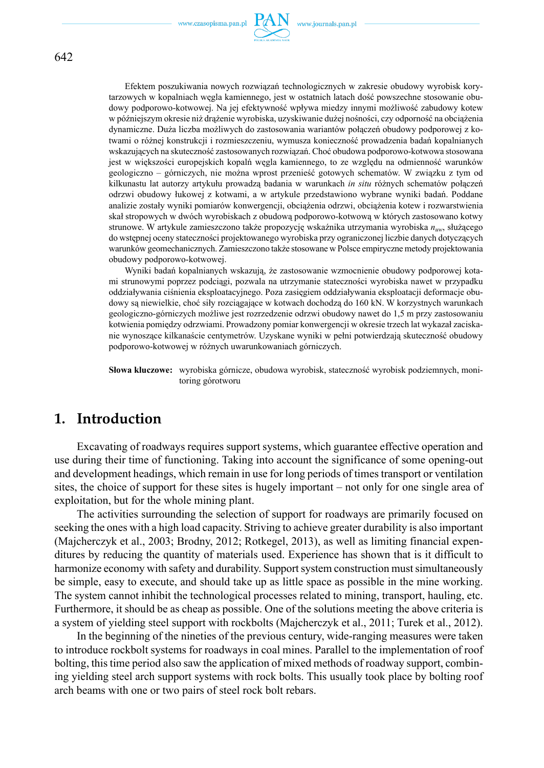

Efektem poszukiwania nowych rozwiązań technologicznych w zakresie obudowy wyrobisk korytarzowych w kopalniach węgla kamiennego, jest w ostatnich latach dość powszechne stosowanie obudowy podporowo-kotwowej. Na jej efektywność wpływa miedzy innymi możliwość zabudowy kotew w późniejszym okresie niż drążenie wyrobiska, uzyskiwanie dużej nośności, czy odporność na obciążenia dynamiczne. Duża liczba możliwych do zastosowania wariantów połączeń obudowy podporowej z kotwami o różnej konstrukcji i rozmieszczeniu, wymusza konieczność prowadzenia badań kopalnianych wskazujących na skuteczność zastosowanych rozwiązań. Choć obudowa podporowo-kotwowa stosowana jest w większości europejskich kopalń węgla kamiennego, to ze względu na odmienność warunków geologiczno – górniczych, nie można wprost przenieść gotowych schematów. W związku z tym od kilkunastu lat autorzy artykułu prowadzą badania w warunkach *in situ* różnych schematów połączeń odrzwi obudowy łukowej z kotwami, a w artykule przedstawiono wybrane wyniki badań. Poddane analizie zostały wyniki pomiarów konwergencji, obciążenia odrzwi, obciążenia kotew i rozwarstwienia skał stropowych w dwóch wyrobiskach z obudową podporowo-kotwową w których zastosowano kotwy strunowe. W artykule zamieszczono także propozycję wskaźnika utrzymania wyrobiska *nuw*, służącego do wstępnej oceny stateczności projektowanego wyrobiska przy ograniczonej liczbie danych dotyczących warunków geomechanicznych. Zamieszczono także stosowane w Polsce empiryczne metody projektowania obudowy podporowo-kotwowej.

Wyniki badań kopalnianych wskazują, że zastosowanie wzmocnienie obudowy podporowej kotami strunowymi poprzez podciągi, pozwala na utrzymanie stateczności wyrobiska nawet w przypadku oddziaływania ciśnienia eksploatacyjnego. Poza zasięgiem oddziaływania eksploatacji deformacje obudowy są niewielkie, choć siły rozciągające w kotwach dochodzą do 160 kN. W korzystnych warunkach geologiczno-górniczych możliwe jest rozrzedzenie odrzwi obudowy nawet do 1,5 m przy zastosowaniu kotwienia pomiędzy odrzwiami. Prowadzony pomiar konwergencji w okresie trzech lat wykazał zaciskanie wynoszące kilkanaście centymetrów. Uzyskane wyniki w pełni potwierdzają skuteczność obudowy podporowo-kotwowej w różnych uwarunkowaniach górniczych.

**Słowa kluczowe:** wyrobiska górnicze, obudowa wyrobisk, stateczność wyrobisk podziemnych, monitoring górotworu

## **1. Introduction**

Excavating of roadways requires support systems, which guarantee effective operation and use during their time of functioning. Taking into account the significance of some opening-out and development headings, which remain in use for long periods of times transport or ventilation sites, the choice of support for these sites is hugely important – not only for one single area of exploitation, but for the whole mining plant.

The activities surrounding the selection of support for roadways are primarily focused on seeking the ones with a high load capacity. Striving to achieve greater durability is also important (Majcherczyk et al., 2003; Brodny, 2012; Rotkegel, 2013), as well as limiting financial expenditures by reducing the quantity of materials used. Experience has shown that is it difficult to harmonize economy with safety and durability. Support system construction must simultaneously be simple, easy to execute, and should take up as little space as possible in the mine working. The system cannot inhibit the technological processes related to mining, transport, hauling, etc. Furthermore, it should be as cheap as possible. One of the solutions meeting the above criteria is a system of yielding steel support with rockbolts (Majcherczyk et al., 2011; Turek et al., 2012).

In the beginning of the nineties of the previous century, wide-ranging measures were taken to introduce rockbolt systems for roadways in coal mines. Parallel to the implementation of roof bolting, this time period also saw the application of mixed methods of roadway support, combining yielding steel arch support systems with rock bolts. This usually took place by bolting roof arch beams with one or two pairs of steel rock bolt rebars.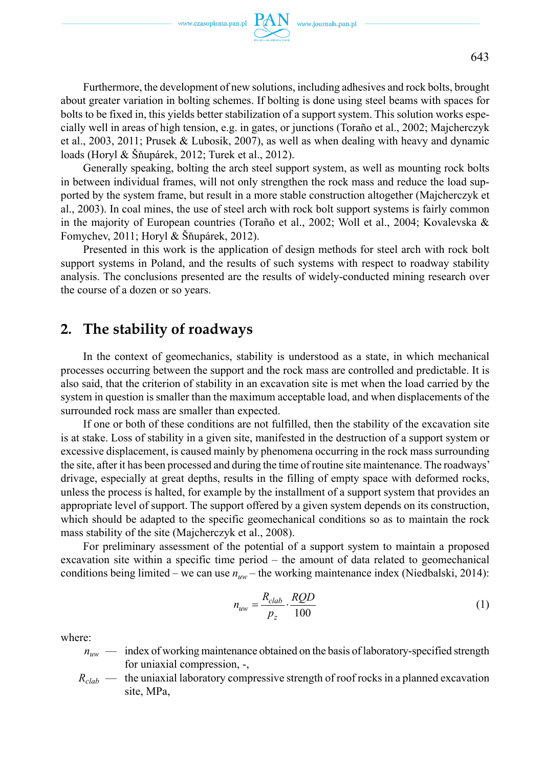

Furthermore, the development of new solutions, including adhesives and rock bolts, brought about greater variation in bolting schemes. If bolting is done using steel beams with spaces for bolts to be fixed in, this yields better stabilization of a support system. This solution works especially well in areas of high tension, e.g. in gates, or junctions (Toraño et al., 2002; Majcherczyk et al., 2003, 2011; Prusek & Lubosik, 2007), as well as when dealing with heavy and dynamic loads (Horyl & Šňupárek, 2012; Turek et al., 2012).

Generally speaking, bolting the arch steel support system, as well as mounting rock bolts in between individual frames, will not only strengthen the rock mass and reduce the load supported by the system frame, but result in a more stable construction altogether (Majcherczyk et al., 2003). In coal mines, the use of steel arch with rock bolt support systems is fairly common in the majority of European countries (Toraño et al., 2002; Woll et al., 2004; Kovalevska & Fomychev, 2011; Horyl & Šňupárek, 2012).

Presented in this work is the application of design methods for steel arch with rock bolt support systems in Poland, and the results of such systems with respect to roadway stability analysis. The conclusions presented are the results of widely-conducted mining research over the course of a dozen or so years.

## **2. The stability of roadways**

In the context of geomechanics, stability is understood as a state, in which mechanical processes occurring between the support and the rock mass are controlled and predictable. It is also said, that the criterion of stability in an excavation site is met when the load carried by the system in question is smaller than the maximum acceptable load, and when displacements of the surrounded rock mass are smaller than expected.

If one or both of these conditions are not fulfilled, then the stability of the excavation site is at stake. Loss of stability in a given site, manifested in the destruction of a support system or excessive displacement, is caused mainly by phenomena occurring in the rock mass surrounding the site, after it has been processed and during the time of routine site maintenance. The roadways' drivage, especially at great depths, results in the filling of empty space with deformed rocks, unless the process is halted, for example by the installment of a support system that provides an appropriate level of support. The support offered by a given system depends on its construction, which should be adapted to the specific geomechanical conditions so as to maintain the rock mass stability of the site (Majcherczyk et al., 2008).

For preliminary assessment of the potential of a support system to maintain a proposed excavation site within a specific time period – the amount of data related to geomechanical conditions being limited – we can use  $n_{uw}$  – the working maintenance index (Niedbalski, 2014):

$$
n_{uw} = \frac{R_{clab}}{p_z} \cdot \frac{RQD}{100} \tag{1}
$$

where:

- $n_{uw}$  index of working maintenance obtained on the basis of laboratory-specified strength for uniaxial compression, -,
- $R_{clab}$  the uniaxial laboratory compressive strength of roof rocks in a planned excavation site, MPa,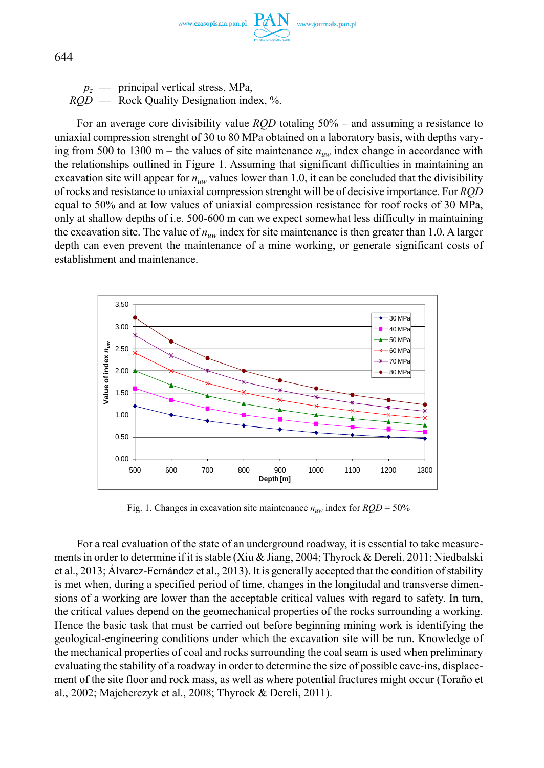www.czasopisma.pan.pl

www.journals.pan.p



644

 $p_z$  — principal vertical stress, MPa, *ROD* — Rock Quality Designation index, %.

For an average core divisibility value *RQD* totaling 50% – and assuming a resistance to uniaxial compression strenght of 30 to 80 MPa obtained on a laboratory basis, with depths varying from 500 to 1300 m – the values of site maintenance  $n_{uw}$  index change in accordance with the relationships outlined in Figure 1. Assuming that significant difficulties in maintaining an excavation site will appear for  $n_{uw}$  values lower than 1.0, it can be concluded that the divisibility of rocks and resistance to uniaxial compression strenght will be of decisive importance. For *RQD*  equal to 50% and at low values of uniaxial compression resistance for roof rocks of 30 MPa, only at shallow depths of i.e. 500-600 m can we expect somewhat less difficulty in maintaining the excavation site. The value of  $n_{uw}$  index for site maintenance is then greater than 1.0. A larger depth can even prevent the maintenance of a mine working, or generate significant costs of establishment and maintenance.



Fig. 1. Changes in excavation site maintenance  $n_{uw}$  index for  $RQD = 50\%$ 

For a real evaluation of the state of an underground roadway, it is essential to take measurements in order to determine if it is stable (Xiu & Jiang, 2004; Thyrock & Dereli, 2011; Niedbalski et al., 2013; Álvarez-Fernández et al., 2013). It is generally accepted that the condition of stability is met when, during a specified period of time, changes in the longitudal and transverse dimensions of a working are lower than the acceptable critical values with regard to safety. In turn, the critical values depend on the geomechanical properties of the rocks surrounding a working. Hence the basic task that must be carried out before beginning mining work is identifying the geological-engineering conditions under which the excavation site will be run. Knowledge of the mechanical properties of coal and rocks surrounding the coal seam is used when preliminary evaluating the stability of a roadway in order to determine the size of possible cave-ins, displacement of the site floor and rock mass, as well as where potential fractures might occur (Toraño et al., 2002; Majcherczyk et al., 2008; Thyrock & Dereli, 2011).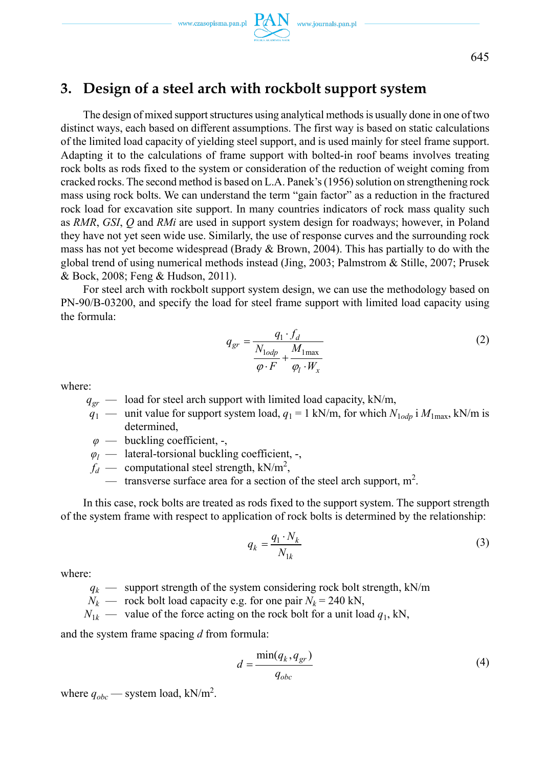# **3. Design of a steel arch with rockbolt support system**

The design of mixed support structures using analytical methods is usually done in one of two distinct ways, each based on different assumptions. The first way is based on static calculations of the limited load capacity of yielding steel support, and is used mainly for steel frame support. Adapting it to the calculations of frame support with bolted-in roof beams involves treating rock bolts as rods fixed to the system or consideration of the reduction of weight coming from cracked rocks. The second method is based on L.A. Panek's (1956) solution on strengthening rock mass using rock bolts. We can understand the term "gain factor" as a reduction in the fractured rock load for excavation site support. In many countries indicators of rock mass quality such as *RMR*, *GSI*, *Q* and *RMi* are used in support system design for roadways; however, in Poland they have not yet seen wide use. Similarly, the use of response curves and the surrounding rock mass has not yet become widespread (Brady  $\&$  Brown, 2004). This has partially to do with the global trend of using numerical methods instead (Jing, 2003; Palmstrom & Stille, 2007; Prusek & Bock, 2008; Feng & Hudson, 2011).

For steel arch with rockbolt support system design, we can use the methodology based on PN-90/B-03200, and specify the load for steel frame support with limited load capacity using the formula:

$$
q_{gr} = \frac{q_1 \cdot f_d}{\frac{N_{1\text{od}p}}{\varphi \cdot F} + \frac{M_{1\text{max}}}{\varphi_l \cdot W_x}}
$$
(2)

where:

- $q_{gr}$  load for steel arch support with limited load capacity, kN/m,
- $q_1$  unit value for support system load,  $q_1 = 1 \text{ kN/m}$ , for which  $N_{1 \text{ odd}}$  i  $M_{1 \text{ max}}$ , kN/m is determined,
- *φ* buckling coefficient, -,
- *φl* — lateral-torsional buckling coefficient, -,
- $f_d$  computational steel strength, kN/m<sup>2</sup>,
	- transverse surface area for a section of the steel arch support,  $m^2$ .

In this case, rock bolts are treated as rods fixed to the support system. The support strength of the system frame with respect to application of rock bolts is determined by the relationship:

$$
q_k = \frac{q_1 \cdot N_k}{N_{1k}}\tag{3}
$$

where:

- $q_k$  support strength of the system considering rock bolt strength, kN/m
- $N_k$  rock bolt load capacity e.g. for one pair  $N_k = 240$  kN,
- $N_{1k}$  value of the force acting on the rock bolt for a unit load  $q_1$ , kN,

and the system frame spacing *d* from formula:

$$
d = \frac{\min(q_k, q_{gr})}{q_{obc}}\tag{4}
$$

where  $q_{obc}$  — system load,  $kN/m^2$ .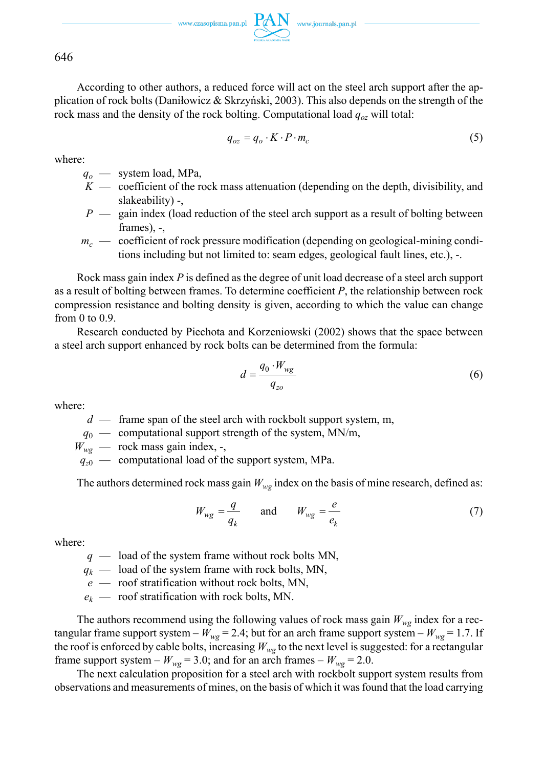6

According to other authors, a reduced force will act on the steel arch support after the application of rock bolts (Daniłowicz & Skrzyński, 2003). This also depends on the strength of the rock mass and the density of the rock bolting. Computational load  $q_{oz}$  will total:

$$
q_{oz} = q_o \cdot K \cdot P \cdot m_c \tag{5}
$$

where:

 *qo* — system load, MPa,

- $K$  coefficient of the rock mass attenuation (depending on the depth, divisibility, and slakeability) -,
- $P$  gain index (load reduction of the steel arch support as a result of bolting between frames), -,
- *mc* coefficient of rock pressure modification (depending on geological-mining conditions including but not limited to: seam edges, geological fault lines, etc.), -.

Rock mass gain index *P* is defined as the degree of unit load decrease of a steel arch support as a result of bolting between frames. To determine coefficient *P*, the relationship between rock compression resistance and bolting density is given, according to which the value can change from 0 to 0.9.

Research conducted by Piechota and Korzeniowski (2002) shows that the space between a steel arch support enhanced by rock bolts can be determined from the formula:

$$
d = \frac{q_0 \cdot W_{wg}}{q_{zo}} \tag{6}
$$

where:

 $d$  — frame span of the steel arch with rockbolt support system, m,

 $q_0$  — computational support strength of the system, MN/m,

 $W_{wg}$  — rock mass gain index, -,

 $q_{z0}$  — computational load of the support system, MPa.

The authors determined rock mass gain  $W_{we}$  index on the basis of mine research, defined as:

$$
W_{wg} = \frac{q}{q_k} \qquad \text{and} \qquad W_{wg} = \frac{e}{e_k} \tag{7}
$$

where:

- $q$  load of the system frame without rock bolts MN,
- $q_k$  load of the system frame with rock bolts, MN,
- $e$  roof stratification without rock bolts, MN,
- $e_k$  roof stratification with rock bolts, MN.

The authors recommend using the following values of rock mass gain  $W_{wg}$  index for a rectangular frame support system –  $W_{wg} = 2.4$ ; but for an arch frame support system –  $W_{wg} = 1.7$ . If the roof is enforced by cable bolts, increasing  $W_{wg}$  to the next level is suggested: for a rectangular frame support system –  $W_{wg} = 3.0$ ; and for an arch frames –  $W_{wg} = 2.0$ .

The next calculation proposition for a steel arch with rockbolt support system results from observations and measurements of mines, on the basis of which it was found that the load carrying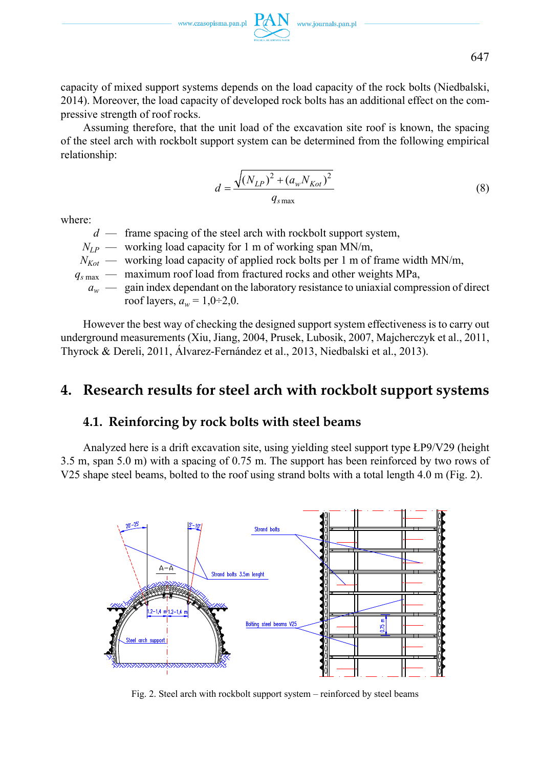www.czasopisma.pan.pl  $P$ 

capacity of mixed support systems depends on the load capacity of the rock bolts (Niedbalski, 2014). Moreover, the load capacity of developed rock bolts has an additional effect on the compressive strength of roof rocks.

Assuming therefore, that the unit load of the excavation site roof is known, the spacing of the steel arch with rockbolt support system can be determined from the following empirical relationship:

$$
d = \frac{\sqrt{(N_{LP})^2 + (a_w N_{Kot})^2}}{q_{s\,\text{max}}} \tag{8}
$$

where:

 $d$  — frame spacing of the steel arch with rockbolt support system,

 $N_{LP}$  — working load capacity for 1 m of working span MN/m,

- $N_{Kot}$  working load capacity of applied rock bolts per 1 m of frame width MN/m,
- $q_{s\,\text{max}}$  maximum roof load from fractured rocks and other weights MPa,
- *aw* gain index dependant on the laboratory resistance to uniaxial compression of direct roof layers,  $a_w = 1,0-2,0$ .

However the best way of checking the designed support system effectiveness is to carry out underground measurements (Xiu, Jiang, 2004, Prusek, Lubosik, 2007, Majcherczyk et al., 2011, Thyrock & Dereli, 2011, Álvarez-Fernández et al., 2013, Niedbalski et al., 2013).

# **4. Research results for steel arch with rockbolt support systems**

## **4.1. Reinforcing by rock bolts with steel beams**

Analyzed here is a drift excavation site, using yielding steel support type ŁP9/V29 (height 3.5 m, span 5.0 m) with a spacing of 0.75 m. The support has been reinforced by two rows of V25 shape steel beams, bolted to the roof using strand bolts with a total length 4.0 m (Fig. 2).



Fig. 2. Steel arch with rockbolt support system – reinforced by steel beams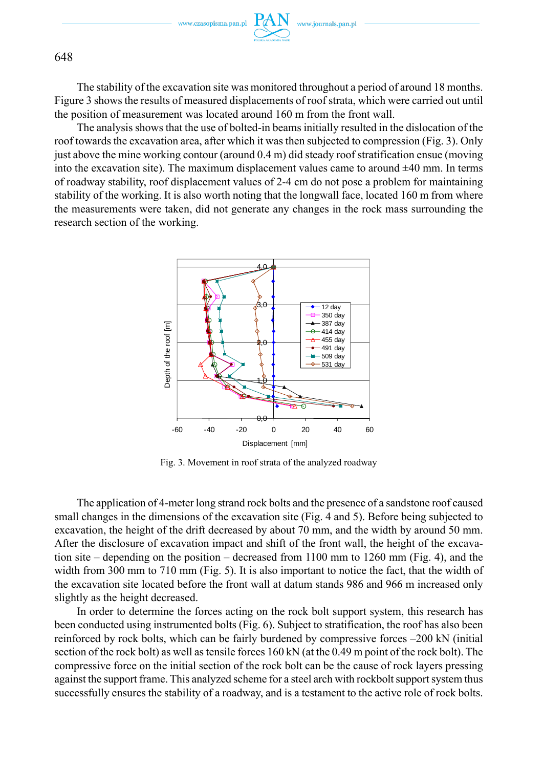

648

The stability of the excavation site was monitored throughout a period of around 18 months. Figure 3 shows the results of measured displacements of roof strata, which were carried out until the position of measurement was located around 160 m from the front wall.

The analysis shows that the use of bolted-in beams initially resulted in the dislocation of the roof towards the excavation area, after which it was then subjected to compression (Fig. 3). Only just above the mine working contour (around 0.4 m) did steady roof stratification ensue (moving into the excavation site). The maximum displacement values came to around ±40 mm. In terms of roadway stability, roof displacement values of 2-4 cm do not pose a problem for maintaining stability of the working. It is also worth noting that the longwall face, located 160 m from where the measurements were taken, did not generate any changes in the rock mass surrounding the research section of the working.



Fig. 3. Movement in roof strata of the analyzed roadway

The application of 4-meter long strand rock bolts and the presence of a sandstone roof caused small changes in the dimensions of the excavation site (Fig. 4 and 5). Before being subjected to excavation, the height of the drift decreased by about 70 mm, and the width by around 50 mm. After the disclosure of excavation impact and shift of the front wall, the height of the excavation site – depending on the position – decreased from 1100 mm to 1260 mm (Fig. 4), and the width from 300 mm to 710 mm (Fig. 5). It is also important to notice the fact, that the width of the excavation site located before the front wall at datum stands 986 and 966 m increased only slightly as the height decreased.

In order to determine the forces acting on the rock bolt support system, this research has been conducted using instrumented bolts (Fig. 6). Subject to stratification, the roof has also been reinforced by rock bolts, which can be fairly burdened by compressive forces –200 kN (initial section of the rock bolt) as well as tensile forces 160 kN (at the 0.49 m point of the rock bolt). The compressive force on the initial section of the rock bolt can be the cause of rock layers pressing against the support frame. This analyzed scheme for a steel arch with rockbolt support system thus successfully ensures the stability of a roadway, and is a testament to the active role of rock bolts.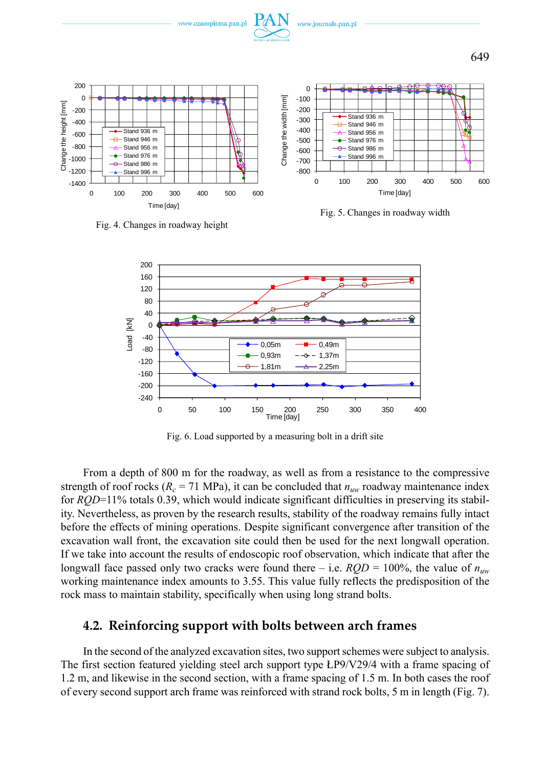

www.journals.pan.p

www.czasopisma.pan.pl

Fig. 4. Changes in roadway height

Fig. 5. Changes in roadway width



Fig. 6. Load supported by a measuring bolt in a drift site

From a depth of 800 m for the roadway, as well as from a resistance to the compressive strength of roof rocks ( $R_c$  = 71 MPa), it can be concluded that  $n_{\mu\nu}$  roadway maintenance index for *RQD*=11% totals 0.39, which would indicate significant difficulties in preserving its stability. Nevertheless, as proven by the research results, stability of the roadway remains fully intact before the effects of mining operations. Despite significant convergence after transition of the excavation wall front, the excavation site could then be used for the next longwall operation. If we take into account the results of endoscopic roof observation, which indicate that after the longwall face passed only two cracks were found there – i.e.  $RQD = 100\%$ , the value of  $n_{uw}$ working maintenance index amounts to 3.55. This value fully reflects the predisposition of the rock mass to maintain stability, specifically when using long strand bolts.

### **4.2. Reinforcing support with bolts between arch frames**

In the second of the analyzed excavation sites, two support schemes were subject to analysis. The first section featured yielding steel arch support type ŁP9/V29/4 with a frame spacing of 1.2 m, and likewise in the second section, with a frame spacing of 1.5 m. In both cases the roof of every second support arch frame was reinforced with strand rock bolts, 5 m in length (Fig. 7).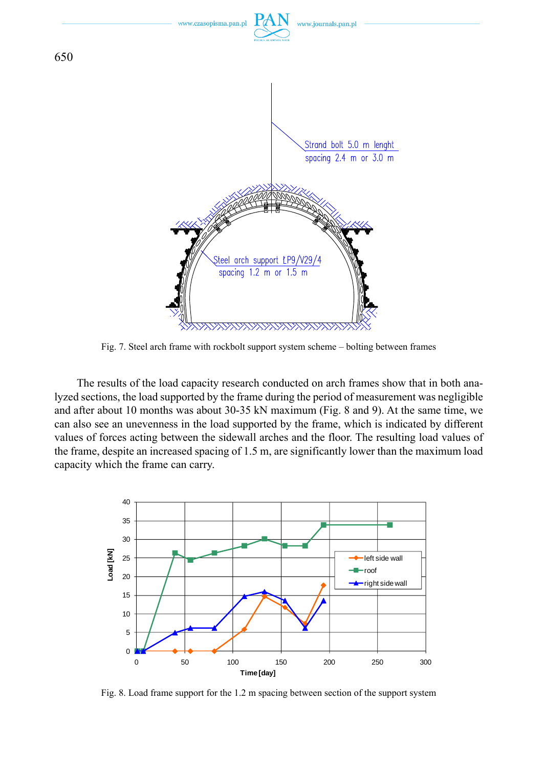

Fig. 7. Steel arch frame with rockbolt support system scheme – bolting between frames

The results of the load capacity research conducted on arch frames show that in both analyzed sections, the load supported by the frame during the period of measurement was negligible and after about 10 months was about 30-35 kN maximum (Fig. 8 and 9). At the same time, we can also see an unevenness in the load supported by the frame, which is indicated by different values of forces acting between the sidewall arches and the floor. The resulting load values of the frame, despite an increased spacing of 1.5 m, are significantly lower than the maximum load capacity which the frame can carry.



Fig. 8. Load frame support for the 1.2 m spacing between section of the support system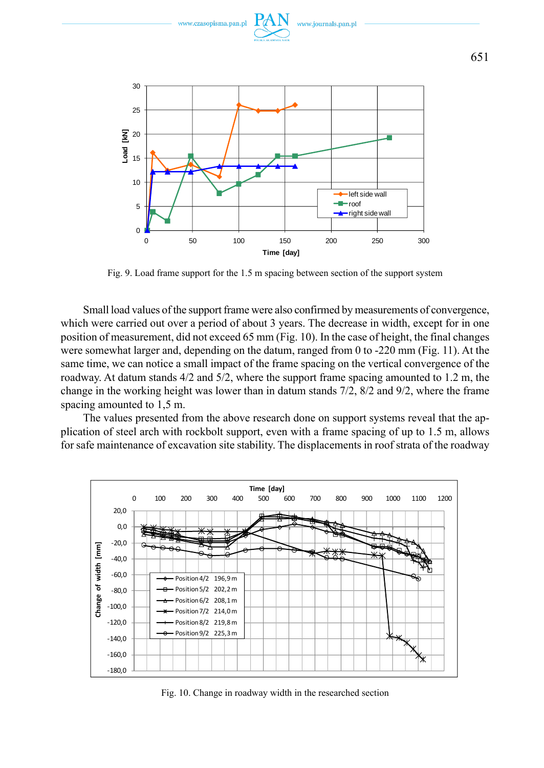

Fig. 9. Load frame support for the 1.5 m spacing between section of the support system

Small load values of the support frame were also confirmed by measurements of convergence, which were carried out over a period of about 3 years. The decrease in width, except for in one position of measurement, did not exceed 65 mm (Fig. 10). In the case of height, the final changes were somewhat larger and, depending on the datum, ranged from 0 to -220 mm (Fig. 11). At the same time, we can notice a small impact of the frame spacing on the vertical convergence of the roadway. At datum stands 4/2 and 5/2, where the support frame spacing amounted to 1.2 m, the change in the working height was lower than in datum stands 7/2, 8/2 and 9/2, where the frame spacing amounted to 1,5 m.

The values presented from the above research done on support systems reveal that the application of steel arch with rockbolt support, even with a frame spacing of up to 1.5 m, allows for safe maintenance of excavation site stability. The displacements in roof strata of the roadway



Fig. 10. Change in roadway width in the researched section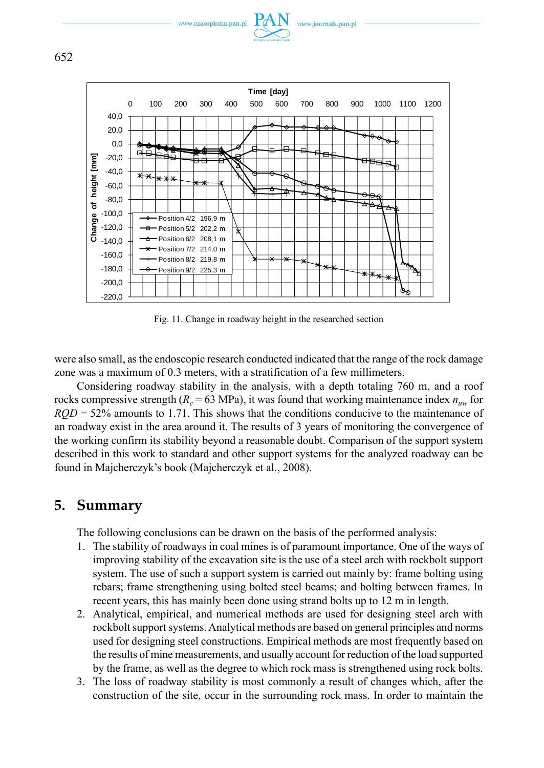www.czasopisma.pan.p





Fig. 11. Change in roadway height in the researched section

were also small, as the endoscopic research conducted indicated that the range of the rock damage zone was a maximum of 0.3 meters, with a stratification of a few millimeters.

Considering roadway stability in the analysis, with a depth totaling 760 m, and a roof rocks compressive strength ( $R_c$  = 63 MPa), it was found that working maintenance index  $n_{uw}$  for *RQD* = 52% amounts to 1.71. This shows that the conditions conducive to the maintenance of an roadway exist in the area around it. The results of 3 years of monitoring the convergence of the working confirm its stability beyond a reasonable doubt. Comparison of the support system described in this work to standard and other support systems for the analyzed roadway can be found in Majcherczyk's book (Majcherczyk et al., 2008).

## **5. Summary**

The following conclusions can be drawn on the basis of the performed analysis:

- 1. The stability of roadways in coal mines is of paramount importance. One of the ways of improving stability of the excavation site is the use of a steel arch with rockbolt support system. The use of such a support system is carried out mainly by: frame bolting using rebars; frame strengthening using bolted steel beams; and bolting between frames. In recent years, this has mainly been done using strand bolts up to 12 m in length.
- 2. Analytical, empirical, and numerical methods are used for designing steel arch with rockbolt support systems. Analytical methods are based on general principles and norms used for designing steel constructions. Empirical methods are most frequently based on the results of mine measurements, and usually account for reduction of the load supported by the frame, as well as the degree to which rock mass is strengthened using rock bolts.
- 3. The loss of roadway stability is most commonly a result of changes which, after the construction of the site, occur in the surrounding rock mass. In order to maintain the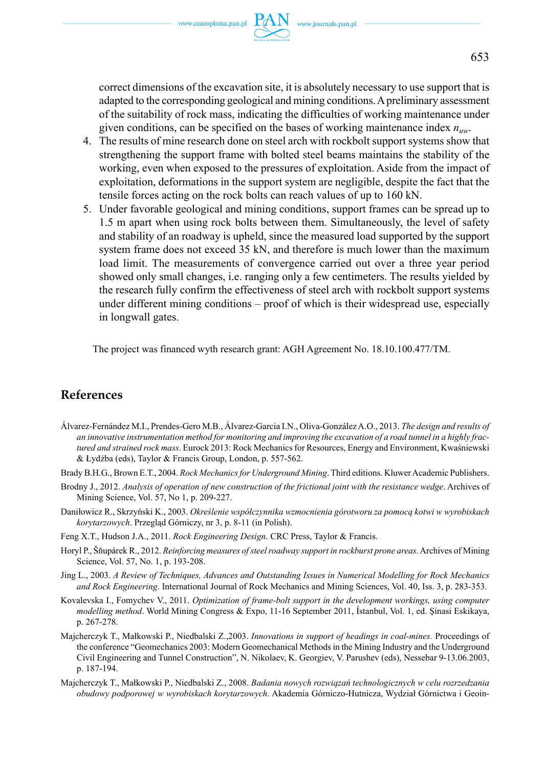

correct dimensions of the excavation site, it is absolutely necessary to use support that is adapted to the corresponding geological and mining conditions. A preliminary assessment of the suitability of rock mass, indicating the difficulties of working maintenance under given conditions, can be specified on the bases of working maintenance index *nuw*.

- 4. The results of mine research done on steel arch with rockbolt support systems show that strengthening the support frame with bolted steel beams maintains the stability of the working, even when exposed to the pressures of exploitation. Aside from the impact of exploitation, deformations in the support system are negligible, despite the fact that the tensile forces acting on the rock bolts can reach values of up to 160 kN.
- 5. Under favorable geological and mining conditions, support frames can be spread up to 1.5 m apart when using rock bolts between them. Simultaneously, the level of safety and stability of an roadway is upheld, since the measured load supported by the support system frame does not exceed 35 kN, and therefore is much lower than the maximum load limit. The measurements of convergence carried out over a three year period showed only small changes, i.e. ranging only a few centimeters. The results yielded by the research fully confirm the effectiveness of steel arch with rockbolt support systems under different mining conditions – proof of which is their widespread use, especially in longwall gates.

The project was financed wyth research grant: AGH Agreement No. 18.10.100.477/TM.

### **References**

- Álvarez-Fernández M.I., Prendes-Gero M.B., Álvarez-Garcia I.N., Oliva-González A.O., 2013. *The design and results of an innovative instrumentation method for monitoring and improving the excavation of a road tunnel in a highly fractured and strained rock mass*. Eurock 2013: Rock Mechanics for Resources, Energy and Environment, Kwaśniewski & Łydżba (eds), Taylor & Francis Group, London, p. 557-562.
- Brady B.H.G., Brown E.T., 2004. *Rock Mechanics for Underground Mining*. Third editions. Kluwer Academic Publishers.
- Brodny J., 2012. *Analysis of operation of new construction of the frictional joint with the resistance wedge*. Archives of Mining Science, Vol. 57, No 1, p. 209-227.
- Daniłowicz R., Skrzyński K., 2003. *Określenie współczynnika wzmocnienia górotworu za pomocą kotwi w wyrobiskach korytarzowych*. Przegląd Górniczy, nr 3, p. 8-11 (in Polish).
- Feng X.T., Hudson J.A., 2011. *Rock Engineering Design*. CRC Press, Taylor & Francis.
- Horyl P., Šňupárek R., 2012. *Reinforcing measures of steel roadway support in rockburst prone areas*. Archives of Mining Science, Vol. 57, No. 1, p. 193-208.
- Jing L., 2003. *A Review of Techniques, Advances and Outstanding Issues in Numerical Modelling for Rock Mechanics and Rock Engineering*. International Journal of Rock Mechanics and Mining Sciences, Vol. 40, Iss. 3, p. 283-353.
- Kovalevska I., Fomychev V., 2011. *Optimization of frame-bolt support in the development workings, using computer modelling method*. World Mining Congress & Expo, 11-16 September 2011, Ístanbul, Vol. 1, ed. Şinasi Eskikaya, p. 267-278.
- Majcherczyk T., Małkowski P., Niedbalski Z.,2003. *Innovations in support of headings in coal-mines.* Proceedings of the conference "Geomechanics 2003: Modern Geomechanical Methods in the Mining Industry and the Underground Civil Engineering and Tunnel Construction", N. Nikolaev, K. Georgiev, V. Parushev (eds), Nessebar 9-13.06.2003, p. 187-194.
- Majcherczyk T., Małkowski P., Niedbalski Z., 2008. *Badania nowych rozwiązań technologicznych w celu rozrzedzania obudowy podporowej w wyrobiskach korytarzowych*. Akademia Górniczo-Hutnicza, Wydział Górnictwa i Geoin-